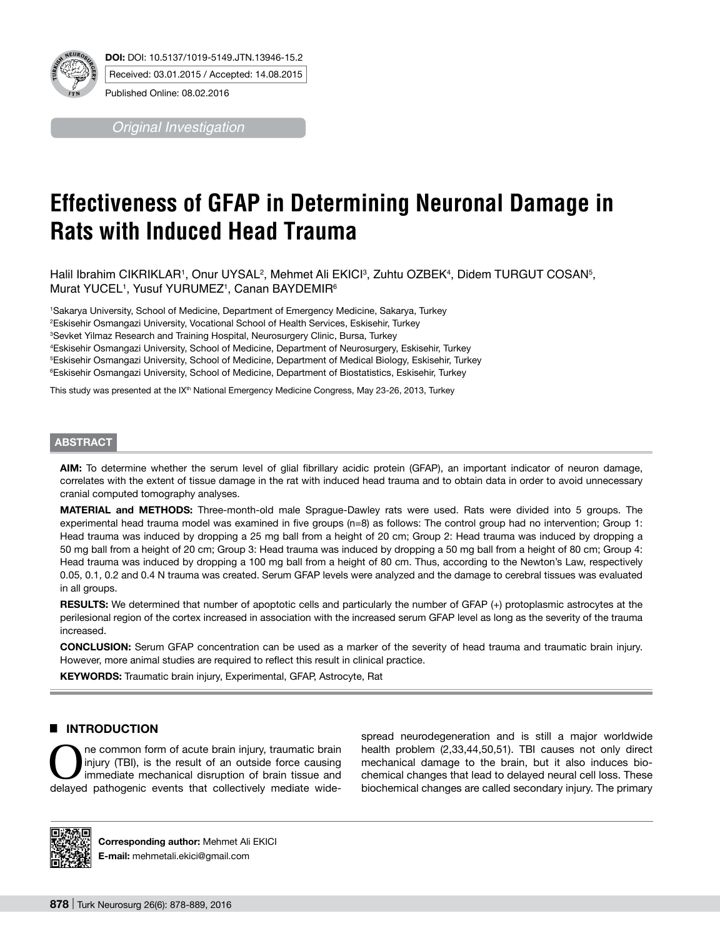

*Original Investigation*

# **Effectiveness of GFAP in Determining Neuronal Damage in Rats with Induced Head Trauma**

Halil Ibrahim CIKRIKLAR1, Onur UYSAL<sup>2</sup>, Mehmet Ali EKICl<sup>3</sup>, Zuhtu OZBEK4, Didem TURGUT COSAN<sup>5</sup>, Murat YUCEL<sup>1</sup>, Yusuf YURUMEZ<sup>1</sup>, Canan BAYDEMIR<sup>6</sup>

 Sakarya University, School of Medicine, Department of Emergency Medicine, Sakarya, Turkey Eskisehir Osmangazi University, Vocational School of Health Services, Eskisehir, Turkey Sevket Yilmaz Research and Training Hospital, Neurosurgery Clinic, Bursa, Turkey Eskisehir Osmangazi University, School of Medicine, Department of Neurosurgery, Eskisehir, Turkey Eskisehir Osmangazi University, School of Medicine, Department of Medical Biology, Eskisehir, Turkey Eskisehir Osmangazi University, School of Medicine, Department of Biostatistics, Eskisehir, Turkey

This study was presented at the IX<sup>th</sup> National Emergency Medicine Congress, May 23-26, 2013, Turkey

#### **ABSTRACT**

**AIm:** To determine whether the serum level of glial fibrillary acidic protein (GFAP), an important indicator of neuron damage, correlates with the extent of tissue damage in the rat with induced head trauma and to obtain data in order to avoid unnecessary cranial computed tomography analyses.

**MaterIal and Methods:** Three-month-old male Sprague-Dawley rats were used. Rats were divided into 5 groups. The experimental head trauma model was examined in five groups (n=8) as follows: The control group had no intervention; Group 1: Head trauma was induced by dropping a 25 mg ball from a height of 20 cm; Group 2: Head trauma was induced by dropping a 50 mg ball from a height of 20 cm; Group 3: Head trauma was induced by dropping a 50 mg ball from a height of 80 cm; Group 4: Head trauma was induced by dropping a 100 mg ball from a height of 80 cm. Thus, according to the Newton's Law, respectively 0.05, 0.1, 0.2 and 0.4 N trauma was created. Serum GFAP levels were analyzed and the damage to cerebral tissues was evaluated in all groups.

**RESULTS:** We determined that number of apoptotic cells and particularly the number of GFAP (+) protoplasmic astrocytes at the perilesional region of the cortex increased in association with the increased serum GFAP level as long as the severity of the trauma increased.

**ConclusIon:** Serum GFAP concentration can be used as a marker of the severity of head trauma and traumatic brain injury. However, more animal studies are required to reflect this result in clinical practice.

KEYWORDS: Traumatic brain injury, Experimental, GFAP, Astrocyte, Rat

## █ **Introduction**

ne common form of acute brain injury, traumatic brain injury (TBI), is the result of an outside force causing immediate mechanical disruption of brain tissue and delayed pathogenic events that collectively mediate wide-

spread neurodegeneration and is still a major worldwide health problem (2,33,44,50,51). TBI causes not only direct mechanical damage to the brain, but it also induces biochemical changes that lead to delayed neural cell loss. These biochemical changes are called secondary injury. The primary



**Corresponding author:** Mehmet Ali EKICI **E-mail:** mehmetali.ekici@gmail.com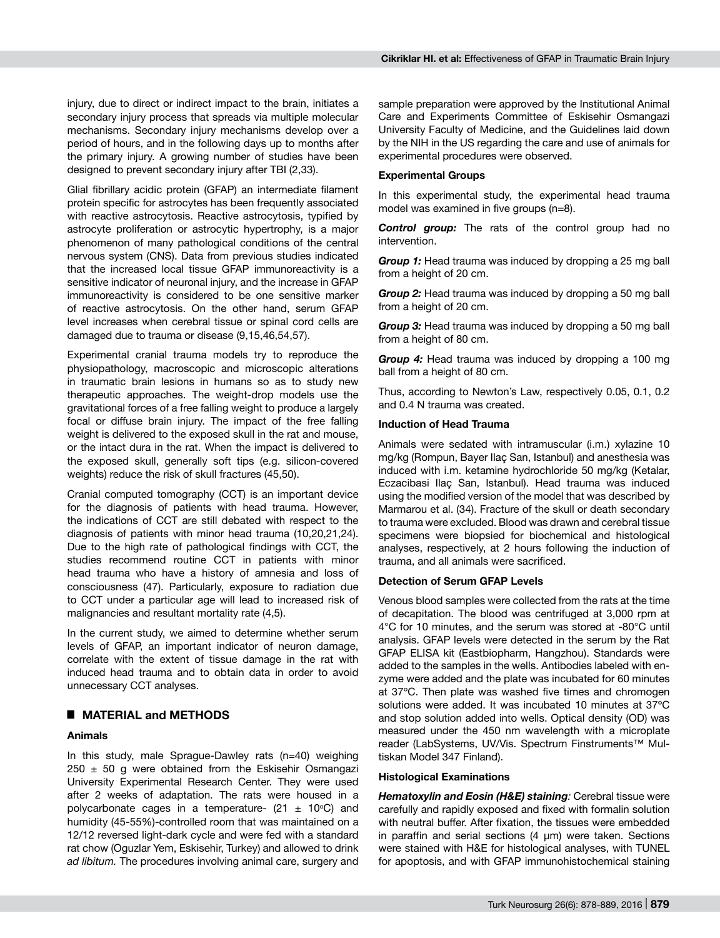injury, due to direct or indirect impact to the brain, initiates a secondary injury process that spreads via multiple molecular mechanisms. Secondary injury mechanisms develop over a period of hours, and in the following days up to months after the primary injury. A growing number of studies have been designed to prevent secondary injury after TBI (2,33).

Glial fibrillary acidic protein (GFAP) an intermediate filament protein specific for astrocytes has been frequently associated with reactive astrocytosis. Reactive astrocytosis, typified by astrocyte proliferation or astrocytic hypertrophy, is a major phenomenon of many pathological conditions of the central nervous system (CNS). Data from previous studies indicated that the increased local tissue GFAP immunoreactivity is a sensitive indicator of neuronal injury, and the increase in GFAP immunoreactivity is considered to be one sensitive marker of reactive astrocytosis. On the other hand, serum GFAP level increases when cerebral tissue or spinal cord cells are damaged due to trauma or disease (9,15,46,54,57).

Experimental cranial trauma models try to reproduce the physiopathology, macroscopic and microscopic alterations in traumatic brain lesions in humans so as to study new therapeutic approaches. The weight-drop models use the gravitational forces of a free falling weight to produce a largely focal or diffuse brain injury. The impact of the free falling weight is delivered to the exposed skull in the rat and mouse, or the intact dura in the rat. When the impact is delivered to the exposed skull, generally soft tips (e.g. silicon-covered weights) reduce the risk of skull fractures (45,50).

Cranial computed tomography (CCT) is an important device for the diagnosis of patients with head trauma. However, the indications of CCT are still debated with respect to the diagnosis of patients with minor head trauma (10,20,21,24). Due to the high rate of pathological findings with CCT, the studies recommend routine CCT in patients with minor head trauma who have a history of amnesia and loss of consciousness (47). Particularly, exposure to radiation due to CCT under a particular age will lead to increased risk of malignancies and resultant mortality rate (4,5).

In the current study, we aimed to determine whether serum levels of GFAP, an important indicator of neuron damage, correlate with the extent of tissue damage in the rat with induced head trauma and to obtain data in order to avoid unnecessary CCT analyses.

## █ **MATERIAL and METHODS**

#### **Animals**

In this study, male Sprague-Dawley rats (n=40) weighing  $250 \pm 50$  g were obtained from the Eskisehir Osmangazi University Experimental Research Center. They were used after 2 weeks of adaptation. The rats were housed in a polycarbonate cages in a temperature-  $(21 \pm 10^{\circ}C)$  and humidity (45-55%)-controlled room that was maintained on a 12/12 reversed light-dark cycle and were fed with a standard rat chow (Oguzlar Yem, Eskisehir, Turkey) and allowed to drink *ad libitum.* The procedures involving animal care, surgery and

sample preparation were approved by the Institutional Animal Care and Experiments Committee of Eskisehir Osmangazi University Faculty of Medicine, and the Guidelines laid down by the NIH in the US regarding the care and use of animals for experimental procedures were observed.

#### **Experimental Groups**

In this experimental study, the experimental head trauma model was examined in five groups (n=8).

*Control group:* The rats of the control group had no intervention.

*Group 1:* Head trauma was induced by dropping a 25 mg ball from a height of 20 cm.

*Group 2:* Head trauma was induced by dropping a 50 mg ball from a height of 20 cm.

*Group 3:* Head trauma was induced by dropping a 50 mg ball from a height of 80 cm.

*Group 4:* Head trauma was induced by dropping a 100 mg ball from a height of 80 cm.

Thus, according to Newton's Law, respectively 0.05, 0.1, 0.2 and 0.4 N trauma was created.

#### **Induction of Head Trauma**

Animals were sedated with intramuscular (i.m.) xylazine 10 mg/kg (Rompun, Bayer Ilaç San, Istanbul) and anesthesia was induced with i.m. ketamine hydrochloride 50 mg/kg (Ketalar, Eczacibasi Ilaç San, Istanbul). Head trauma was induced using the modified version of the model that was described by Marmarou et al. (34). Fracture of the skull or death secondary to trauma were excluded. Blood was drawn and cerebral tissue specimens were biopsied for biochemical and histological analyses, respectively, at 2 hours following the induction of trauma, and all animals were sacrificed.

## **Detection of Serum GFAP Levels**

Venous blood samples were collected from the rats at the time of decapitation. The blood was centrifuged at 3,000 rpm at 4°C for 10 minutes, and the serum was stored at -80°C until analysis. GFAP levels were detected in the serum by the Rat GFAP ELISA kit (Eastbiopharm, Hangzhou). Standards were added to the samples in the wells. Antibodies labeled with enzyme were added and the plate was incubated for 60 minutes at 37ºC. Then plate was washed five times and chromogen solutions were added. It was incubated 10 minutes at 37ºC and stop solution added into wells. Optical density (OD) was measured under the 450 nm wavelength with a microplate reader (LabSystems, UV/Vis. Spectrum Finstruments™ Multiskan Model 347 Finland).

#### **Histological Examinations**

*Hematoxylin and Eosin (H&E) staining:* Cerebral tissue were carefully and rapidly exposed and fixed with formalin solution with neutral buffer. After fixation, the tissues were embedded in paraffin and serial sections  $(4 \mu m)$  were taken. Sections were stained with H&E for histological analyses, with TUNEL for apoptosis, and with GFAP immunohistochemical staining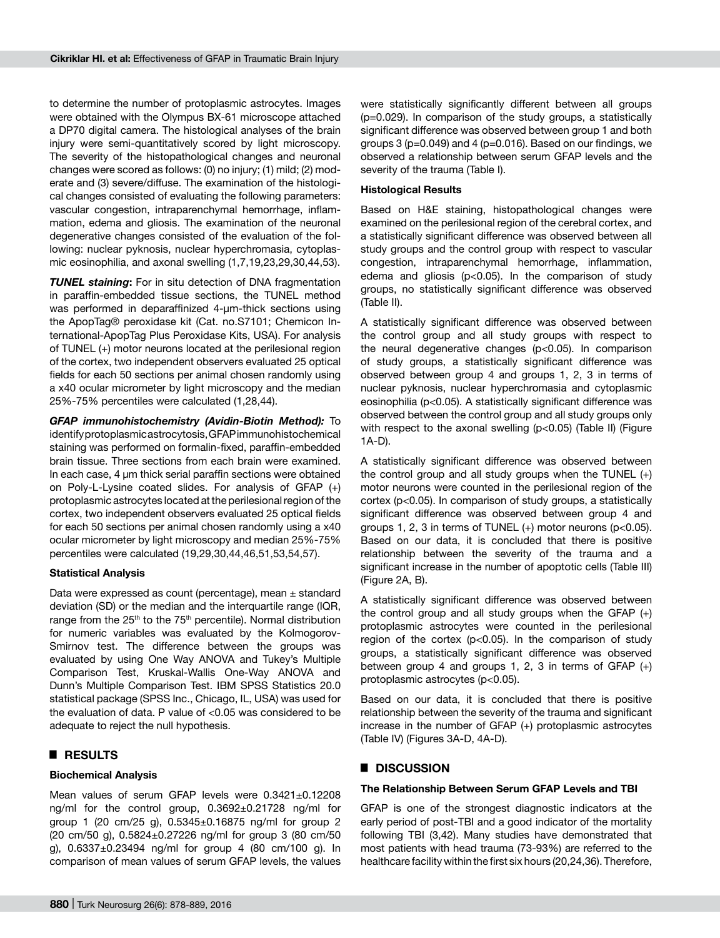to determine the number of protoplasmic astrocytes. Images were obtained with the Olympus BX-61 microscope attached a DP70 digital camera. The histological analyses of the brain injury were semi-quantitatively scored by light microscopy. The severity of the histopathological changes and neuronal changes were scored as follows: (0) no injury; (1) mild; (2) moderate and (3) severe/diffuse. The examination of the histological changes consisted of evaluating the following parameters: vascular congestion, intraparenchymal hemorrhage, inflammation, edema and gliosis. The examination of the neuronal degenerative changes consisted of the evaluation of the following: nuclear pyknosis, nuclear hyperchromasia, cytoplasmic eosinophilia, and axonal swelling (1,7,19,23,29,30,44,53).

**TUNEL staining:** For in situ detection of DNA fragmentation in paraffin-embedded tissue sections, the TUNEL method was performed in deparaffinized 4-um-thick sections using the ApopTag® peroxidase kit (Cat. no.S7101; Chemicon International-ApopTag Plus Peroxidase Kits, USA). For analysis of TUNEL (+) motor neurons located at the perilesional region of the cortex, two independent observers evaluated 25 optical fields for each 50 sections per animal chosen randomly using a x40 ocular micrometer by light microscopy and the median 25%-75% percentiles were calculated (1,28,44).

*GFAP immunohistochemistry (Avidin-Biotin Method):* To identify protoplasmic astrocytosis, GFAP immunohistochemical staining was performed on formalin-fixed, paraffin-embedded brain tissue. Three sections from each brain were examined. In each case, 4 µm thick serial paraffin sections were obtained on Poly-L-Lysine coated slides. For analysis of GFAP (+) protoplasmic astrocytes located at the perilesional region of the cortex, two independent observers evaluated 25 optical fields for each 50 sections per animal chosen randomly using a x40 ocular micrometer by light microscopy and median 25%-75% percentiles were calculated (19,29,30,44,46,51,53,54,57).

## **Statistical Analysis**

Data were expressed as count (percentage), mean  $\pm$  standard deviation (SD) or the median and the interquartile range (IQR, range from the 25<sup>th</sup> to the 75<sup>th</sup> percentile). Normal distribution for numeric variables was evaluated by the Kolmogorov-Smirnov test. The difference between the groups was evaluated by using One Way ANOVA and Tukey's Multiple Comparison Test, Kruskal-Wallis One-Way ANOVA and Dunn's Multiple Comparison Test. IBM SPSS Statistics 20.0 statistical package (SPSS Inc., Chicago, IL, USA) was used for the evaluation of data. P value of <0.05 was considered to be adequate to reject the null hypothesis.

## █ **RESULTS**

#### **Biochemical Analysis**

Mean values of serum GFAP levels were 0.3421±0.12208 ng/ml for the control group, 0.3692±0.21728 ng/ml for group 1 (20 cm/25 g), 0.5345±0.16875 ng/ml for group 2 (20 cm/50 g), 0.5824±0.27226 ng/ml for group 3 (80 cm/50 g), 0.6337±0.23494 ng/ml for group 4 (80 cm/100 g). In comparison of mean values of serum GFAP levels, the values were statistically significantly different between all groups (p=0.029). In comparison of the study groups, a statistically significant difference was observed between group 1 and both groups 3 ( $p=0.049$ ) and 4 ( $p=0.016$ ). Based on our findings, we observed a relationship between serum GFAP levels and the severity of the trauma (Table I).

#### **Histological Results**

Based on H&E staining, histopathological changes were examined on the perilesional region of the cerebral cortex, and a statistically significant difference was observed between all study groups and the control group with respect to vascular congestion, intraparenchymal hemorrhage, inflammation, edema and gliosis (p<0.05). In the comparison of study groups, no statistically significant difference was observed (Table II).

A statistically significant difference was observed between the control group and all study groups with respect to the neural degenerative changes (p<0.05). In comparison of study groups, a statistically significant difference was observed between group 4 and groups 1, 2, 3 in terms of nuclear pyknosis, nuclear hyperchromasia and cytoplasmic eosinophilia (p<0.05). A statistically significant difference was observed between the control group and all study groups only with respect to the axonal swelling (p<0.05) (Table II) (Figure 1A-D).

A statistically significant difference was observed between the control group and all study groups when the TUNEL (+) motor neurons were counted in the perilesional region of the cortex (p<0.05). In comparison of study groups, a statistically significant difference was observed between group 4 and groups 1, 2, 3 in terms of TUNEL  $(+)$  motor neurons ( $p<0.05$ ). Based on our data, it is concluded that there is positive relationship between the severity of the trauma and a significant increase in the number of apoptotic cells (Table III) (Figure 2A, B).

A statistically significant difference was observed between the control group and all study groups when the GFAP (+) protoplasmic astrocytes were counted in the perilesional region of the cortex (p<0.05). In the comparison of study groups, a statistically significant difference was observed between group 4 and groups 1, 2, 3 in terms of GFAP  $(+)$ protoplasmic astrocytes (p<0.05).

Based on our data, it is concluded that there is positive relationship between the severity of the trauma and significant increase in the number of GFAP (+) protoplasmic astrocytes (Table IV) (Figures 3A-D, 4A-D).

## █ **DISCUSSION**

## **The Relationship Between Serum GFAP Levels and TBI**

GFAP is one of the strongest diagnostic indicators at the early period of post-TBI and a good indicator of the mortality following TBI (3,42). Many studies have demonstrated that most patients with head trauma (73-93%) are referred to the healthcare facility within the first six hours (20,24,36). Therefore,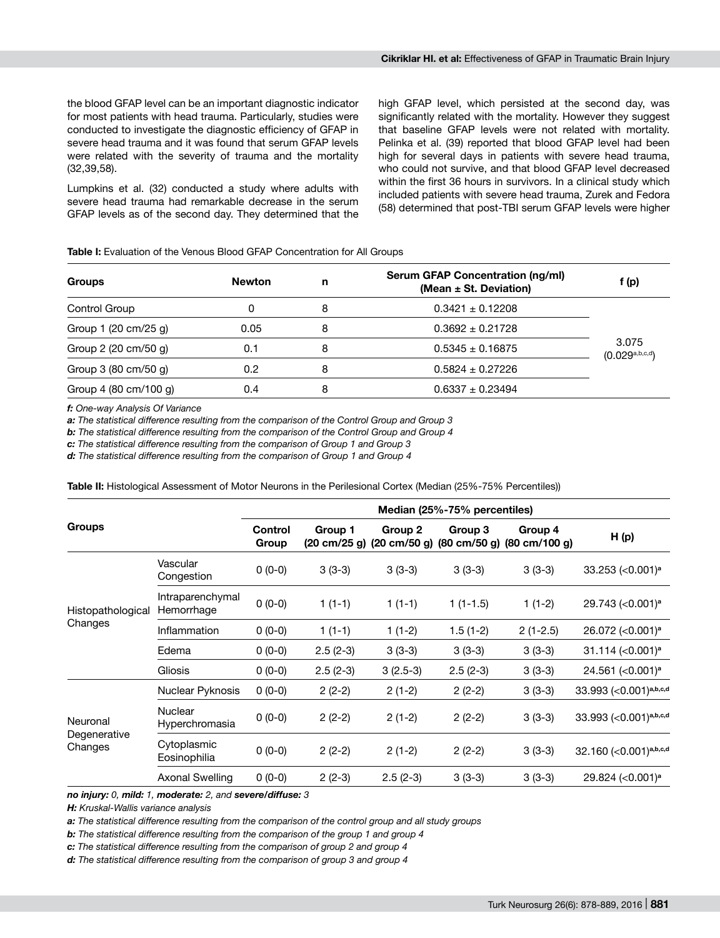the blood GFAP level can be an important diagnostic indicator for most patients with head trauma. Particularly, studies were conducted to investigate the diagnostic efficiency of GFAP in severe head trauma and it was found that serum GFAP levels were related with the severity of trauma and the mortality (32,39,58).

Lumpkins et al. (32) conducted a study where adults with severe head trauma had remarkable decrease in the serum GFAP levels as of the second day. They determined that the high GFAP level, which persisted at the second day, was significantly related with the mortality. However they suggest that baseline GFAP levels were not related with mortality. Pelinka et al. (39) reported that blood GFAP level had been high for several days in patients with severe head trauma, who could not survive, and that blood GFAP level decreased within the first 36 hours in survivors. In a clinical study which included patients with severe head trauma, Zurek and Fedora (58) determined that post-TBI serum GFAP levels were higher

**Table I:** Evaluation of the Venous Blood GFAP Concentration for All Groups

| <b>Groups</b>                          | <b>Newton</b> | n | Serum GFAP Concentration (ng/ml)<br>(Mean $\pm$ St. Deviation) | f (p)                      |
|----------------------------------------|---------------|---|----------------------------------------------------------------|----------------------------|
| Control Group                          |               | 8 | $0.3421 \pm 0.12208$                                           |                            |
| Group 1 (20 cm/25 g)                   | 0.05          | 8 | $0.3692 \pm 0.21728$                                           |                            |
| Group 2 (20 cm/50 g)                   | 0.1           | 8 | $0.5345 \pm 0.16875$                                           | 3.075<br>(0.029a, b, c, d) |
| Group 3 $(80 \text{ cm}/50 \text{ g})$ | 0.2           | 8 | $0.5824 \pm 0.27226$                                           |                            |
| Group 4 (80 cm/100 g)                  | 0.4           | 8 | $0.6337 + 0.23494$                                             |                            |

*f: One-way Analysis Of Variance*

*a: The statistical difference resulting from the comparison of the Control Group and Group 3*

*b: The statistical difference resulting from the comparison of the Control Group and Group 4*

*c: The statistical difference resulting from the comparison of Group 1 and Group 3*

*d: The statistical difference resulting from the comparison of Group 1 and Group 4*

**Table II:** Histological Assessment of Motor Neurons in the Perilesional Cortex (Median (25%-75% Percentiles))

|                                     |                                  | Median (25%-75% percentiles) |                                           |                                           |                                           |                                            |                                  |  |
|-------------------------------------|----------------------------------|------------------------------|-------------------------------------------|-------------------------------------------|-------------------------------------------|--------------------------------------------|----------------------------------|--|
| <b>Groups</b>                       |                                  | Control<br>Group             | Group 1<br>$(20 \text{ cm}/25 \text{ g})$ | Group 2<br>$(20 \text{ cm}/50 \text{ g})$ | Group 3<br>$(80 \text{ cm}/50 \text{ g})$ | Group 4<br>$(80 \text{ cm}/100 \text{ g})$ | H(p)                             |  |
| Histopathological<br>Changes        | Vascular<br>Congestion           | $0(0-0)$                     | $3(3-3)$                                  | $3(3-3)$                                  | $3(3-3)$                                  | $3(3-3)$                                   | 33.253 (<0.001) <sup>a</sup>     |  |
|                                     | Intraparenchymal<br>Hemorrhage   | $0(0-0)$                     | $1(1-1)$                                  | $1(1-1)$                                  | $1(1-1.5)$                                | $1(1-2)$                                   | 29.743 (< 0.001) <sup>a</sup>    |  |
|                                     | Inflammation                     | $0(0-0)$                     | $1(1-1)$                                  | $1(1-2)$                                  | $1.5(1-2)$                                | $2(1-2.5)$                                 | 26.072 (< 0.001) <sup>a</sup>    |  |
|                                     | Edema                            | $0(0-0)$                     | $2.5(2-3)$                                | $3(3-3)$                                  | $3(3-3)$                                  | $3(3-3)$                                   | $31.114$ (<0.001) <sup>a</sup>   |  |
|                                     | <b>Gliosis</b>                   | $0(0-0)$                     | $2.5(2-3)$                                | $3(2.5-3)$                                | $2.5(2-3)$                                | $3(3-3)$                                   | 24.561 (< $0.001$ ) <sup>a</sup> |  |
| Neuronal<br>Degenerative<br>Changes | Nuclear Pyknosis                 | $0(0-0)$                     | $2(2-2)$                                  | $2(1-2)$                                  | $2(2-2)$                                  | $3(3-3)$                                   | 33.993 (< 0.001)a,b,c,d          |  |
|                                     | <b>Nuclear</b><br>Hyperchromasia | $0(0-0)$                     | $2(2-2)$                                  | $2(1-2)$                                  | $2(2-2)$                                  | $3(3-3)$                                   | 33.993 (<0.001)a,b,c,d           |  |
|                                     | Cytoplasmic<br>Eosinophilia      | $0(0-0)$                     | $2(2-2)$                                  | $2(1-2)$                                  | $2(2-2)$                                  | $3(3-3)$                                   | 32.160 (< 0.001)a,b,c,d          |  |
|                                     | <b>Axonal Swelling</b>           | $0(0-0)$                     | $2(2-3)$                                  | $2.5(2-3)$                                | $3(3-3)$                                  | $3(3-3)$                                   | 29.824 (< 0.001) <sup>a</sup>    |  |

*no injury: 0, mild: 1, moderate: 2, and severe/diffuse: 3*

*H: Kruskal-Wallis variance analysis*

*a: The statistical difference resulting from the comparison of the control group and all study groups*

*b: The statistical difference resulting from the comparison of the group 1 and group 4*

*c: The statistical difference resulting from the comparison of group 2 and group 4* 

*d: The statistical difference resulting from the comparison of group 3 and group 4*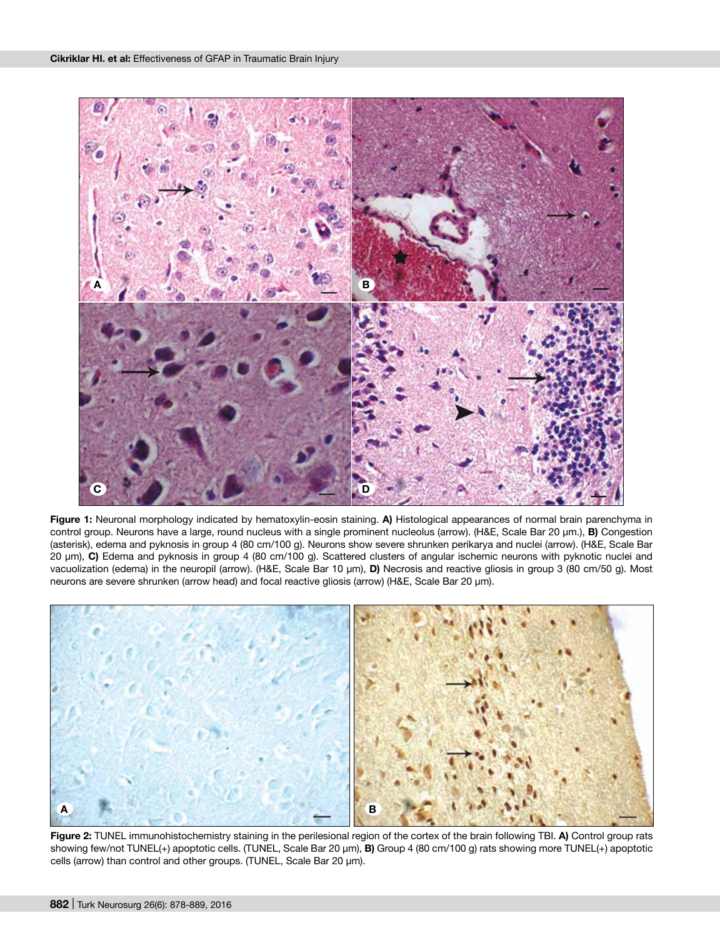

**Figure 1:** Neuronal morphology indicated by hematoxylin-eosin staining. **a)** Histological appearances of normal brain parenchyma in control group. Neurons have a large, round nucleus with a single prominent nucleolus (arrow). (H&E, Scale Bar 20 µm.), **b)** Congestion (asterisk), edema and pyknosis in group 4 (80 cm/100 g). Neurons show severe shrunken perikarya and nuclei (arrow). (H&E, Scale Bar 20 µm), **c)** Edema and pyknosis in group 4 (80 cm/100 g). Scattered clusters of angular ischemic neurons with pyknotic nuclei and vacuolization (edema) in the neuropil (arrow). (H&E, Scale Bar 10 µm), D) Necrosis and reactive gliosis in group 3 (80 cm/50 g). Most neurons are severe shrunken (arrow head) and focal reactive gliosis (arrow) (H&E, Scale Bar 20 µm).



**Figure 2:** TUNEL immunohistochemistry staining in the perilesional region of the cortex of the brain following TBI. **a)** Control group rats showing few/not TUNEL(+) apoptotic cells. (TUNEL, Scale Bar 20 µm), **b)** Group 4 (80 cm/100 g) rats showing more TUNEL(+) apoptotic cells (arrow) than control and other groups. (TUNEL, Scale Bar 20 µm).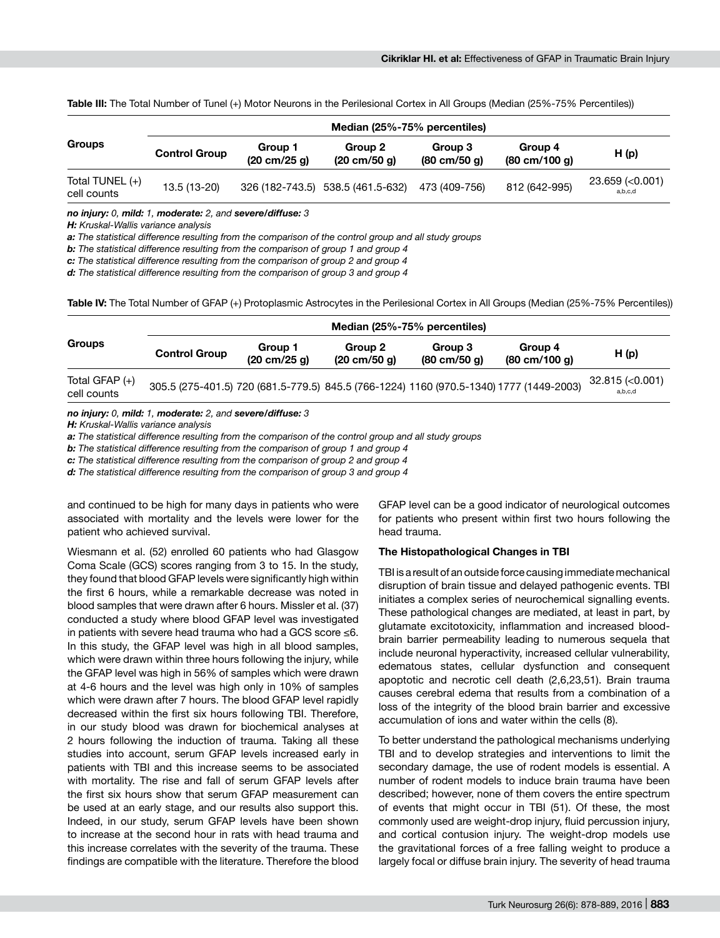| <b>Groups</b>                    | Median (25%-75% percentiles) |                                           |                                           |                                           |                                            |                                   |  |  |
|----------------------------------|------------------------------|-------------------------------------------|-------------------------------------------|-------------------------------------------|--------------------------------------------|-----------------------------------|--|--|
|                                  | <b>Control Group</b>         | Group 1<br>$(20 \text{ cm}/25 \text{ g})$ | Group 2<br>$(20 \text{ cm}/50 \text{ g})$ | Group 3<br>$(80 \text{ cm}/50 \text{ g})$ | Group 4<br>$(80 \text{ cm}/100 \text{ g})$ | H(p)                              |  |  |
| Total TUNEL $(+)$<br>cell counts | 13.5 (13-20)                 |                                           | 326 (182-743.5) 538.5 (461.5-632)         | 473 (409-756)                             | 812 (642-995)                              | $23.659$ ( $< 0.001$ )<br>a,b,c,d |  |  |

**Table III:** The Total Number of Tunel (+) Motor Neurons in the Perilesional Cortex in All Groups (Median (25%-75% Percentiles))

*no injury: 0, mild: 1, moderate: 2, and severe/diffuse: 3*

*H: Kruskal-Wallis variance analysis*

*a: The statistical difference resulting from the comparison of the control group and all study groups*

*b: The statistical difference resulting from the comparison of group 1 and group 4*

*c: The statistical difference resulting from the comparison of group 2 and group 4*

*d: The statistical difference resulting from the comparison of group 3 and group 4*

Table IV: The Total Number of GFAP (+) Protoplasmic Astrocytes in the Perilesional Cortex in All Groups (Median (25%-75% Percentiles))

| Groups                          | Median (25%-75% percentiles)                                                            |                                           |                                           |                                           |                                            |                             |  |  |
|---------------------------------|-----------------------------------------------------------------------------------------|-------------------------------------------|-------------------------------------------|-------------------------------------------|--------------------------------------------|-----------------------------|--|--|
|                                 | <b>Control Group</b>                                                                    | Group 1<br>$(20 \text{ cm}/25 \text{ g})$ | Group 2<br>$(20 \text{ cm}/50 \text{ g})$ | Group 3<br>$(80 \text{ cm}/50 \text{ g})$ | Group 4<br>$(80 \text{ cm}/100 \text{ g})$ | H(p)                        |  |  |
| Total GFAP $(+)$<br>cell counts | 305.5 (275-401.5) 720 (681.5-779.5) 845.5 (766-1224) 1160 (970.5-1340) 1777 (1449-2003) |                                           |                                           |                                           |                                            | 32.815 (< 0.001)<br>a,b,c,d |  |  |

#### *no injury: 0, mild: 1, moderate: 2, and severe/diffuse: 3*

*H: Kruskal-Wallis variance analysis*

*a: The statistical difference resulting from the comparison of the control group and all study groups*

*b: The statistical difference resulting from the comparison of group 1 and group 4*

*c: The statistical difference resulting from the comparison of group 2 and group 4*

*d: The statistical difference resulting from the comparison of group 3 and group 4*

and continued to be high for many days in patients who were associated with mortality and the levels were lower for the patient who achieved survival.

Wiesmann et al. (52) enrolled 60 patients who had Glasgow Coma Scale (GCS) scores ranging from 3 to 15. In the study, they found that blood GFAP levels were significantly high within the first 6 hours, while a remarkable decrease was noted in blood samples that were drawn after 6 hours. Missler et al. (37) conducted a study where blood GFAP level was investigated in patients with severe head trauma who had a GCS score ≤6. In this study, the GFAP level was high in all blood samples, which were drawn within three hours following the injury, while the GFAP level was high in 56% of samples which were drawn at 4-6 hours and the level was high only in 10% of samples which were drawn after 7 hours. The blood GFAP level rapidly decreased within the first six hours following TBI. Therefore, in our study blood was drawn for biochemical analyses at 2 hours following the induction of trauma. Taking all these studies into account, serum GFAP levels increased early in patients with TBI and this increase seems to be associated with mortality. The rise and fall of serum GFAP levels after the first six hours show that serum GFAP measurement can be used at an early stage, and our results also support this. Indeed, in our study, serum GFAP levels have been shown to increase at the second hour in rats with head trauma and this increase correlates with the severity of the trauma. These findings are compatible with the literature. Therefore the blood GFAP level can be a good indicator of neurological outcomes for patients who present within first two hours following the head trauma.

#### **The Histopathological Changes in TBI**

TBI is a result of an outside force causing immediate mechanical disruption of brain tissue and delayed pathogenic events. TBI initiates a complex series of neurochemical signalling events. These pathological changes are mediated, at least in part, by glutamate excitotoxicity, inflammation and increased bloodbrain barrier permeability leading to numerous sequela that include neuronal hyperactivity, increased cellular vulnerability, edematous states, cellular dysfunction and consequent apoptotic and necrotic cell death (2,6,23,51). Brain trauma causes cerebral edema that results from a combination of a loss of the integrity of the blood brain barrier and excessive accumulation of ions and water within the cells (8).

To better understand the pathological mechanisms underlying TBI and to develop strategies and interventions to limit the secondary damage, the use of rodent models is essential. A number of rodent models to induce brain trauma have been described; however, none of them covers the entire spectrum of events that might occur in TBI (51). Of these, the most commonly used are weight-drop injury, fluid percussion injury, and cortical contusion injury. The weight-drop models use the gravitational forces of a free falling weight to produce a largely focal or diffuse brain injury. The severity of head trauma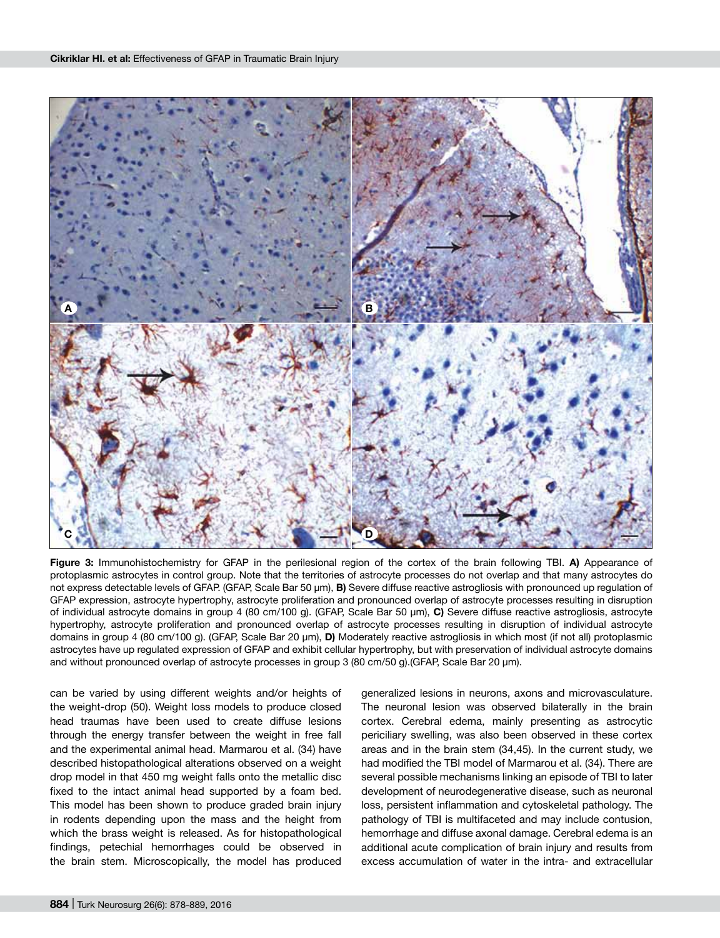

**Figure 3:** Immunohistochemistry for GFAP in the perilesional region of the cortex of the brain following TBI. **a)** Appearance of protoplasmic astrocytes in control group. Note that the territories of astrocyte processes do not overlap and that many astrocytes do not express detectable levels of GFAP. (GFAP, Scale Bar 50 µm), **b)** Severe diffuse reactive astrogliosis with pronounced up regulation of GFAP expression, astrocyte hypertrophy, astrocyte proliferation and pronounced overlap of astrocyte processes resulting in disruption of individual astrocyte domains in group 4 (80 cm/100 g). (GFAP, Scale Bar 50 µm), **c)** Severe diffuse reactive astrogliosis, astrocyte hypertrophy, astrocyte proliferation and pronounced overlap of astrocyte processes resulting in disruption of individual astrocyte domains in group 4 (80 cm/100 g). (GFAP, Scale Bar 20 µm), **d)** Moderately reactive astrogliosis in which most (if not all) protoplasmic astrocytes have up regulated expression of GFAP and exhibit cellular hypertrophy, but with preservation of individual astrocyte domains and without pronounced overlap of astrocyte processes in group 3 (80 cm/50 g). (GFAP, Scale Bar 20 µm).

can be varied by using different weights and/or heights of the weight-drop (50). Weight loss models to produce closed head traumas have been used to create diffuse lesions through the energy transfer between the weight in free fall and the experimental animal head. Marmarou et al. (34) have described histopathological alterations observed on a weight drop model in that 450 mg weight falls onto the metallic disc fixed to the intact animal head supported by a foam bed. This model has been shown to produce graded brain injury in rodents depending upon the mass and the height from which the brass weight is released. As for histopathological findings, petechial hemorrhages could be observed in the brain stem. Microscopically, the model has produced

generalized lesions in neurons, axons and microvasculature. The neuronal lesion was observed bilaterally in the brain cortex. Cerebral edema, mainly presenting as astrocytic periciliary swelling, was also been observed in these cortex areas and in the brain stem (34,45). In the current study, we had modified the TBI model of Marmarou et al. (34). There are several possible mechanisms linking an episode of TBI to later development of neurodegenerative disease, such as neuronal loss, persistent inflammation and cytoskeletal pathology. The pathology of TBI is multifaceted and may include contusion, hemorrhage and diffuse axonal damage. Cerebral edema is an additional acute complication of brain injury and results from excess accumulation of water in the intra- and extracellular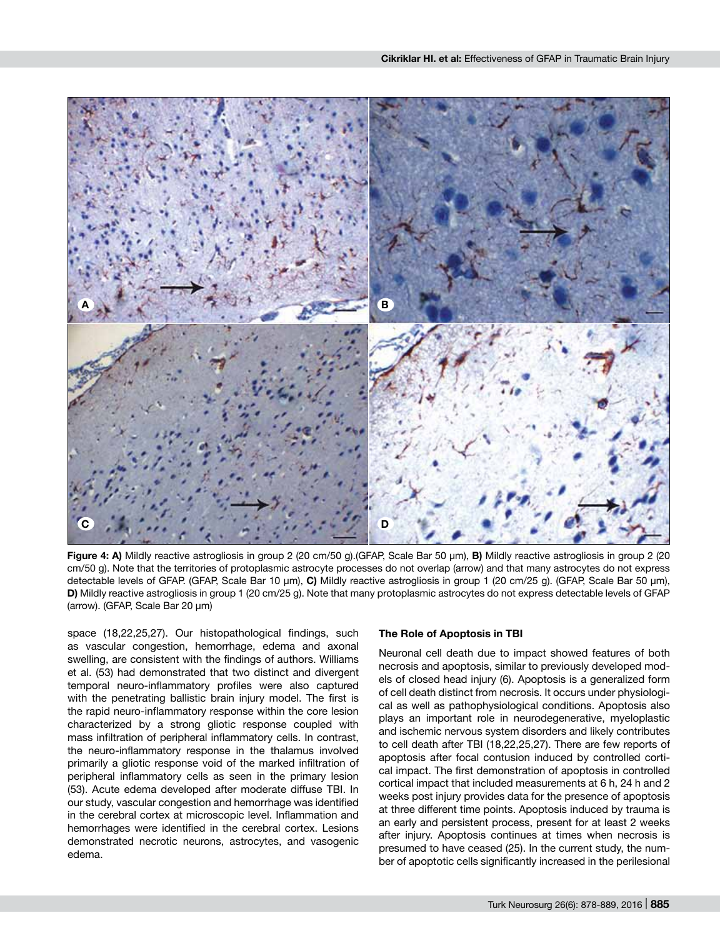

**Figure 4: a)** Mildly reactive astrogliosis in group 2 (20 cm/50 g).(GFAP, Scale Bar 50 µm), **b)** Mildly reactive astrogliosis in group 2 (20 cm/50 g). Note that the territories of protoplasmic astrocyte processes do not overlap (arrow) and that many astrocytes do not express detectable levels of GFAP. (GFAP, Scale Bar 10 µm), **c)** Mildly reactive astrogliosis in group 1 (20 cm/25 g). (GFAP, Scale Bar 50 µm), **d)** Mildly reactive astrogliosis in group 1 (20 cm/25 g). Note that many protoplasmic astrocytes do not express detectable levels of GFAP (arrow). (GFAP, Scale Bar 20 µm)

space (18,22,25,27). Our histopathological findings, such as vascular congestion, hemorrhage, edema and axonal swelling, are consistent with the findings of authors. Williams et al. (53) had demonstrated that two distinct and divergent temporal neuro-inflammatory profiles were also captured with the penetrating ballistic brain injury model. The first is the rapid neuro-inflammatory response within the core lesion characterized by a strong gliotic response coupled with mass infiltration of peripheral inflammatory cells. In contrast, the neuro-inflammatory response in the thalamus involved primarily a gliotic response void of the marked infiltration of peripheral inflammatory cells as seen in the primary lesion (53). Acute edema developed after moderate diffuse TBI. In our study, vascular congestion and hemorrhage was identified in the cerebral cortex at microscopic level. Inflammation and hemorrhages were identified in the cerebral cortex. Lesions demonstrated necrotic neurons, astrocytes, and vasogenic edema.

#### **The Role of Apoptosis in TBI**

Neuronal cell death due to impact showed features of both necrosis and apoptosis, similar to previously developed models of closed head injury (6). Apoptosis is a generalized form of cell death distinct from necrosis. It occurs under physiological as well as pathophysiological conditions. Apoptosis also plays an important role in neurodegenerative, myeloplastic and ischemic nervous system disorders and likely contributes to cell death after TBI (18,22,25,27). There are few reports of apoptosis after focal contusion induced by controlled cortical impact. The first demonstration of apoptosis in controlled cortical impact that included measurements at 6 h, 24 h and 2 weeks post injury provides data for the presence of apoptosis at three different time points. Apoptosis induced by trauma is an early and persistent process, present for at least 2 weeks after injury. Apoptosis continues at times when necrosis is presumed to have ceased (25). In the current study, the number of apoptotic cells significantly increased in the perilesional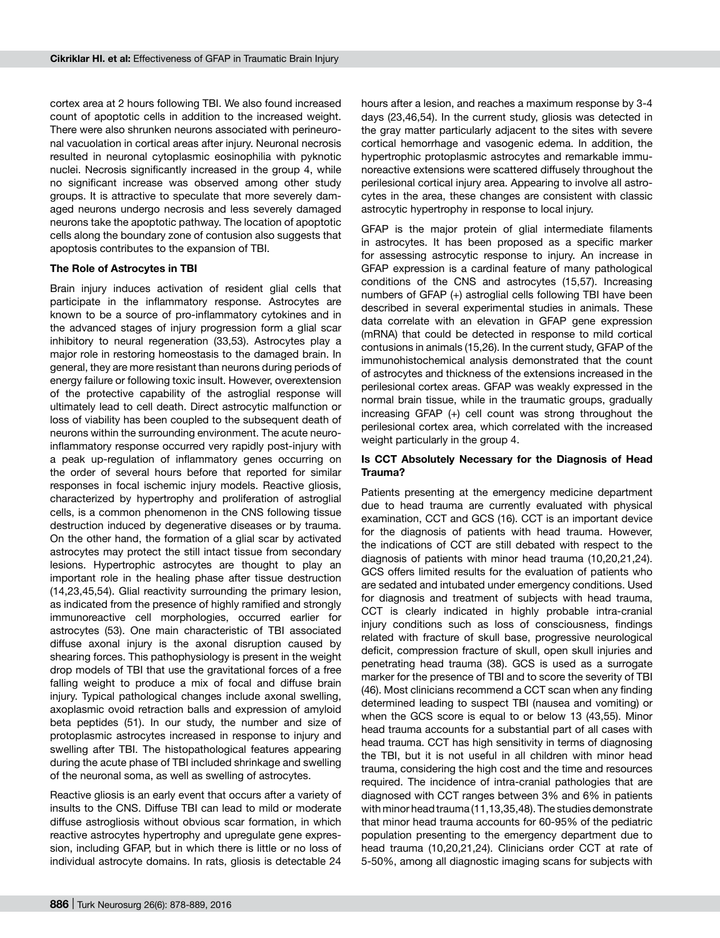cortex area at 2 hours following TBI. We also found increased count of apoptotic cells in addition to the increased weight. There were also shrunken neurons associated with perineuronal vacuolation in cortical areas after injury. Neuronal necrosis resulted in neuronal cytoplasmic eosinophilia with pyknotic nuclei. Necrosis significantly increased in the group 4, while no significant increase was observed among other study groups. It is attractive to speculate that more severely damaged neurons undergo necrosis and less severely damaged neurons take the apoptotic pathway. The location of apoptotic cells along the boundary zone of contusion also suggests that apoptosis contributes to the expansion of TBI.

#### **The Role of Astrocytes in TBI**

Brain injury induces activation of resident glial cells that participate in the inflammatory response. Astrocytes are known to be a source of pro-inflammatory cytokines and in the advanced stages of injury progression form a glial scar inhibitory to neural regeneration (33,53). Astrocytes play a major role in restoring homeostasis to the damaged brain. In general, they are more resistant than neurons during periods of energy failure or following toxic insult. However, overextension of the protective capability of the astroglial response will ultimately lead to cell death. Direct astrocytic malfunction or loss of viability has been coupled to the subsequent death of neurons within the surrounding environment. The acute neuroinflammatory response occurred very rapidly post-injury with a peak up-regulation of inflammatory genes occurring on the order of several hours before that reported for similar responses in focal ischemic injury models. Reactive gliosis, characterized by hypertrophy and proliferation of astroglial cells, is a common phenomenon in the CNS following tissue destruction induced by degenerative diseases or by trauma. On the other hand, the formation of a glial scar by activated astrocytes may protect the still intact tissue from secondary lesions. Hypertrophic astrocytes are thought to play an important role in the healing phase after tissue destruction (14,23,45,54). Glial reactivity surrounding the primary lesion, as indicated from the presence of highly ramified and strongly immunoreactive cell morphologies, occurred earlier for astrocytes (53). One main characteristic of TBI associated diffuse axonal injury is the axonal disruption caused by shearing forces. This pathophysiology is present in the weight drop models of TBI that use the gravitational forces of a free falling weight to produce a mix of focal and diffuse brain injury. Typical pathological changes include axonal swelling, axoplasmic ovoid retraction balls and expression of amyloid beta peptides (51). In our study, the number and size of protoplasmic astrocytes increased in response to injury and swelling after TBI. The histopathological features appearing during the acute phase of TBI included shrinkage and swelling of the neuronal soma, as well as swelling of astrocytes.

Reactive gliosis is an early event that occurs after a variety of insults to the CNS. Diffuse TBI can lead to mild or moderate diffuse astrogliosis without obvious scar formation, in which reactive astrocytes hypertrophy and upregulate gene expression, including GFAP, but in which there is little or no loss of individual astrocyte domains. In rats, gliosis is detectable 24

hours after a lesion, and reaches a maximum response by 3-4 days (23,46,54). In the current study, gliosis was detected in the gray matter particularly adjacent to the sites with severe cortical hemorrhage and vasogenic edema. In addition, the hypertrophic protoplasmic astrocytes and remarkable immunoreactive extensions were scattered diffusely throughout the perilesional cortical injury area. Appearing to involve all astrocytes in the area, these changes are consistent with classic astrocytic hypertrophy in response to local injury.

GFAP is the major protein of glial intermediate filaments in astrocytes. It has been proposed as a specific marker for assessing astrocytic response to injury. An increase in GFAP expression is a cardinal feature of many pathological conditions of the CNS and astrocytes (15,57). Increasing numbers of GFAP (+) astroglial cells following TBI have been described in several experimental studies in animals. These data correlate with an elevation in GFAP gene expression (mRNA) that could be detected in response to mild cortical contusions in animals (15,26). In the current study, GFAP of the immunohistochemical analysis demonstrated that the count of astrocytes and thickness of the extensions increased in the perilesional cortex areas. GFAP was weakly expressed in the normal brain tissue, while in the traumatic groups, gradually increasing GFAP (+) cell count was strong throughout the perilesional cortex area, which correlated with the increased weight particularly in the group 4.

## **Is CCT Absolutely Necessary for the Diagnosis of Head Trauma?**

Patients presenting at the emergency medicine department due to head trauma are currently evaluated with physical examination, CCT and GCS (16). CCT is an important device for the diagnosis of patients with head trauma. However, the indications of CCT are still debated with respect to the diagnosis of patients with minor head trauma (10,20,21,24). GCS offers limited results for the evaluation of patients who are sedated and intubated under emergency conditions. Used for diagnosis and treatment of subjects with head trauma, CCT is clearly indicated in highly probable intra-cranial injury conditions such as loss of consciousness, findings related with fracture of skull base, progressive neurological deficit, compression fracture of skull, open skull injuries and penetrating head trauma (38). GCS is used as a surrogate marker for the presence of TBI and to score the severity of TBI (46). Most clinicians recommend a CCT scan when any finding determined leading to suspect TBI (nausea and vomiting) or when the GCS score is equal to or below 13 (43,55). Minor head trauma accounts for a substantial part of all cases with head trauma. CCT has high sensitivity in terms of diagnosing the TBI, but it is not useful in all children with minor head trauma, considering the high cost and the time and resources required. The incidence of intra-cranial pathologies that are diagnosed with CCT ranges between 3% and 6% in patients with minor head trauma (11,13,35,48). The studies demonstrate that minor head trauma accounts for 60-95% of the pediatric population presenting to the emergency department due to head trauma (10,20,21,24). Clinicians order CCT at rate of 5-50%, among all diagnostic imaging scans for subjects with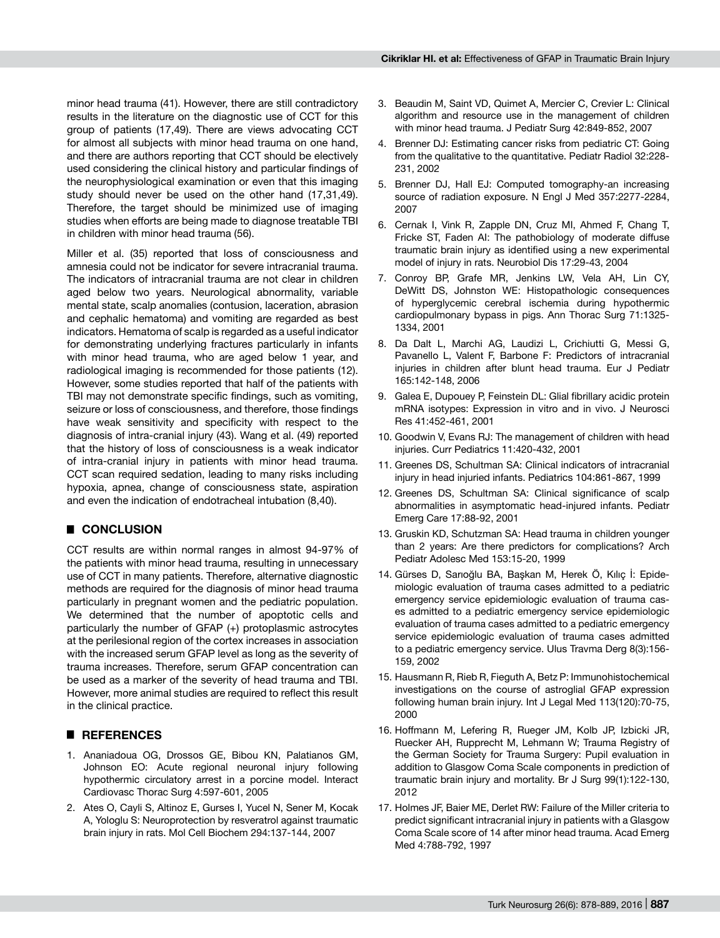minor head trauma (41). However, there are still contradictory results in the literature on the diagnostic use of CCT for this group of patients (17,49). There are views advocating CCT for almost all subjects with minor head trauma on one hand, and there are authors reporting that CCT should be electively used considering the clinical history and particular findings of the neurophysiological examination or even that this imaging study should never be used on the other hand (17,31,49). Therefore, the target should be minimized use of imaging studies when efforts are being made to diagnose treatable TBI in children with minor head trauma (56).

Miller et al. (35) reported that loss of consciousness and amnesia could not be indicator for severe intracranial trauma. The indicators of intracranial trauma are not clear in children aged below two years. Neurological abnormality, variable mental state, scalp anomalies (contusion, laceration, abrasion and cephalic hematoma) and vomiting are regarded as best indicators. Hematoma of scalp is regarded as a useful indicator for demonstrating underlying fractures particularly in infants with minor head trauma, who are aged below 1 year, and radiological imaging is recommended for those patients (12). However, some studies reported that half of the patients with TBI may not demonstrate specific findings, such as vomiting, seizure or loss of consciousness, and therefore, those findings have weak sensitivity and specificity with respect to the diagnosis of intra-cranial injury (43). Wang et al. (49) reported that the history of loss of consciousness is a weak indicator of intra-cranial injury in patients with minor head trauma. CCT scan required sedation, leading to many risks including hypoxia, apnea, change of consciousness state, aspiration and even the indication of endotracheal intubation (8,40).

# █ **CONCLUSION**

CCT results are within normal ranges in almost 94-97% of the patients with minor head trauma, resulting in unnecessary use of CCT in many patients. Therefore, alternative diagnostic methods are required for the diagnosis of minor head trauma particularly in pregnant women and the pediatric population. We determined that the number of apoptotic cells and particularly the number of GFAP (+) protoplasmic astrocytes at the perilesional region of the cortex increases in association with the increased serum GFAP level as long as the severity of trauma increases. Therefore, serum GFAP concentration can be used as a marker of the severity of head trauma and TBI. However, more animal studies are required to reflect this result in the clinical practice.

# █ **REFERENCES**

- 1. Ananiadoua OG, Drossos GE, Bibou KN, Palatianos GM, Johnson EO: Acute regional neuronal injury following hypothermic circulatory arrest in a porcine model. Interact Cardiovasc Thorac Surg 4:597-601, 2005
- 2. Ates O, Cayli S, Altinoz E, Gurses I, Yucel N, Sener M, Kocak A, Yologlu S: Neuroprotection by resveratrol against traumatic brain injury in rats. Mol Cell Biochem 294:137-144, 2007
- 3. Beaudin M, Saint VD, Quimet A, Mercier C, Crevier L: Clinical algorithm and resource use in the management of children with minor head trauma. J Pediatr Surg 42:849-852, 2007
- 4. Brenner DJ: Estimating cancer risks from pediatric CT: Going from the qualitative to the quantitative. Pediatr Radiol 32:228- 231, 2002
- 5. Brenner DJ, Hall EJ: Computed tomography-an increasing source of radiation exposure. N Engl J Med 357:2277-2284, 2007
- 6. Cernak I, Vink R, Zapple DN, Cruz MI, Ahmed F, Chang T, Fricke ST, Faden AI: The pathobiology of moderate diffuse traumatic brain injury as identified using a new experimental model of injury in rats. Neurobiol Dis 17:29-43, 2004
- 7. Conroy BP, Grafe MR, Jenkins LW, Vela AH, Lin CY, DeWitt DS, Johnston WE: Histopathologic consequences of hyperglycemic cerebral ischemia during hypothermic cardiopulmonary bypass in pigs. Ann Thorac Surg 71:1325- 1334, 2001
- 8. Da Dalt L, Marchi AG, Laudizi L, Crichiutti G, Messi G, Pavanello L, Valent F, Barbone F: Predictors of intracranial injuries in children after blunt head trauma. Eur J Pediatr 165:142-148, 2006
- 9. Galea E, Dupouey P, Feinstein DL: Glial fibrillary acidic protein mRNA isotypes: Expression in vitro and in vivo. J Neurosci Res 41:452-461, 2001
- 10. Goodwin V, Evans RJ: The management of children with head injuries. Curr Pediatrics 11:420-432, 2001
- 11. Greenes DS, Schultman SA: Clinical indicators of intracranial injury in head injuried infants. Pediatrics 104:861-867, 1999
- 12. Greenes DS, Schultman SA: Clinical significance of scalp abnormalities in asymptomatic head-injured infants. Pediatr Emerg Care 17:88-92, 2001
- 13. Gruskin KD, Schutzman SA: Head trauma in children younger than 2 years: Are there predictors for complications? Arch Pediatr Adolesc Med 153:15-20, 1999
- 14. Gürses D, Sarıoğlu BA, Başkan M, Herek Ö, Kılıç İ: Epidemiologic evaluation of trauma cases admitted to a pediatric emergency service epidemiologic evaluation of trauma cases admitted to a pediatric emergency service epidemiologic evaluation of trauma cases admitted to a pediatric emergency service epidemiologic evaluation of trauma cases admitted to a pediatric emergency service. Ulus Travma Derg 8(3):156- 159, 2002
- 15. Hausmann R, Rieb R, Fieguth A, Betz P: Immunohistochemical investigations on the course of astroglial GFAP expression following human brain injury. Int J Legal Med 113(120):70-75, 2000
- 16. Hoffmann M, Lefering R, Rueger JM, Kolb JP, Izbicki JR, Ruecker AH, Rupprecht M, Lehmann W; Trauma Registry of the German Society for Trauma Surgery: Pupil evaluation in addition to Glasgow Coma Scale components in prediction of traumatic brain injury and mortality. Br J Surg 99(1):122-130, 2012
- 17. Holmes JF, Baier ME, Derlet RW: Failure of the Miller criteria to predict significant intracranial injury in patients with a Glasgow Coma Scale score of 14 after minor head trauma. Acad Emerg Med 4:788-792, 1997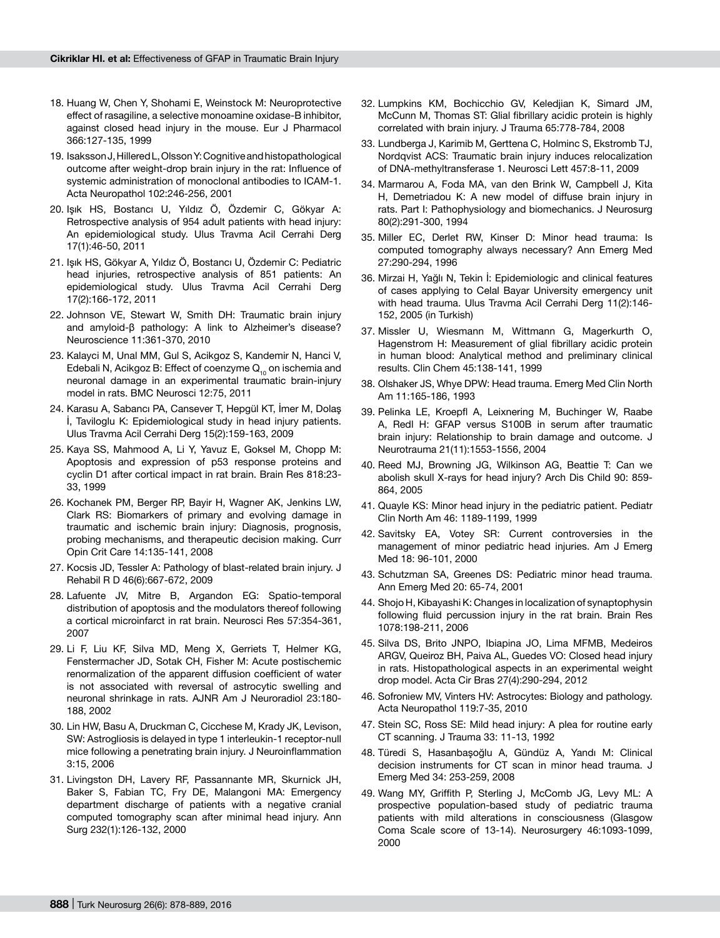- 18. Huang W, Chen Y, Shohami E, Weinstock M: Neuroprotective effect of rasagiline, a selective monoamine oxidase-B inhibitor, against closed head injury in the mouse. Eur J Pharmacol 366:127-135, 1999
- 19. Isaksson J, Hillered L, Olsson Y: Cognitive and histopathological outcome after weight-drop brain injury in the rat: Influence of systemic administration of monoclonal antibodies to ICAM-1. Acta Neuropathol 102:246-256, 2001
- 20. Işık HS, Bostancı U, Yıldız Ö, Özdemir C, Gökyar A: Retrospective analysis of 954 adult patients with head injury: An epidemiological study. Ulus Travma Acil Cerrahi Derg 17(1):46-50, 2011
- 21. Işık HS, Gökyar A, Yıldız Ö, Bostancı U, Özdemir C: Pediatric head injuries, retrospective analysis of 851 patients: An epidemiological study. Ulus Travma Acil Cerrahi Derg 17(2):166-172, 2011
- 22. Johnson VE, Stewart W, Smith DH: Traumatic brain injury and amyloid-β pathology: A link to Alzheimer's disease? Neuroscience 11:361-370, 2010
- 23. Kalayci M, Unal MM, Gul S, Acikgoz S, Kandemir N, Hanci V, Edebali N, Acikgoz B: Effect of coenzyme  $Q_{10}$  on ischemia and neuronal damage in an experimental traumatic brain-injury model in rats. BMC Neurosci 12:75, 2011
- 24. Karasu A, Sabancı PA, Cansever T, Hepgül KT, İmer M, Dolaş İ, Taviloglu K: Epidemiological study in head injury patients. Ulus Travma Acil Cerrahi Derg 15(2):159-163, 2009
- 25. Kaya SS, Mahmood A, Li Y, Yavuz E, Goksel M, Chopp M: Apoptosis and expression of p53 response proteins and cyclin D1 after cortical impact in rat brain. Brain Res 818:23- 33, 1999
- 26. Kochanek PM, Berger RP, Bayir H, Wagner AK, Jenkins LW, Clark RS: Biomarkers of primary and evolving damage in traumatic and ischemic brain injury: Diagnosis, prognosis, probing mechanisms, and therapeutic decision making. Curr Opin Crit Care 14:135-141, 2008
- 27. Kocsis JD, Tessler A: Pathology of blast-related brain injury. J Rehabil R D 46(6):667-672, 2009
- 28. Lafuente JV, Mitre B, Argandon EG: Spatio-temporal distribution of apoptosis and the modulators thereof following a cortical microinfarct in rat brain. Neurosci Res 57:354-361, 2007
- 29. Li F, Liu KF, Silva MD, Meng X, Gerriets T, Helmer KG, Fenstermacher JD, Sotak CH, Fisher M: Acute postischemic renormalization of the apparent diffusion coefficient of water is not associated with reversal of astrocytic swelling and neuronal shrinkage in rats. AJNR Am J Neuroradiol 23:180- 188, 2002
- 30. Lin HW, Basu A, Druckman C, Cicchese M, Krady JK, Levison, SW: Astrogliosis is delayed in type 1 interleukin-1 receptor-null mice following a penetrating brain injury. J Neuroinflammation 3:15, 2006
- 31. Livingston DH, Lavery RF, Passannante MR, Skurnick JH, Baker S, Fabian TC, Fry DE, Malangoni MA: Emergency department discharge of patients with a negative cranial computed tomography scan after minimal head injury. Ann Surg 232(1):126-132, 2000
- 32. Lumpkins KM, Bochicchio GV, Keledjian K, Simard JM, McCunn M, Thomas ST: Glial fibrillary acidic protein is highly correlated with brain injury. J Trauma 65:778-784, 2008
- 33. Lundberga J, Karimib M, Gerttena C, Holminc S, Ekstromb TJ, Nordqvist ACS: Traumatic brain injury induces relocalization of DNA-methyltransferase 1. Neurosci Lett 457:8-11, 2009
- 34. Marmarou A, Foda MA, van den Brink W, Campbell J, Kita H, Demetriadou K: A new model of diffuse brain injury in rats. Part I: Pathophysiology and biomechanics. J Neurosurg 80(2):291-300, 1994
- 35. Miller EC, Derlet RW, Kinser D: Minor head trauma: Is computed tomography always necessary? Ann Emerg Med 27:290-294, 1996
- 36. Mirzai H, Yağlı N, Tekin İ: Epidemiologic and clinical features of cases applying to Celal Bayar University emergency unit with head trauma. Ulus Travma Acil Cerrahi Derg 11(2):146- 152, 2005 (in Turkish)
- 37. Missler U, Wiesmann M, Wittmann G, Magerkurth O, Hagenstrom H: Measurement of glial fibrillary acidic protein in human blood: Analytical method and preliminary clinical results. Clin Chem 45:138-141, 1999
- 38. Olshaker JS, Whye DPW: Head trauma. Emerg Med Clin North Am 11:165-186, 1993
- 39. Pelinka LE, Kroepfl A, Leixnering M, Buchinger W, Raabe A, Redl H: GFAP versus S100B in serum after traumatic brain injury: Relationship to brain damage and outcome. J Neurotrauma 21(11):1553-1556, 2004
- 40. Reed MJ, Browning JG, Wilkinson AG, Beattie T: Can we abolish skull X-rays for head injury? Arch Dis Child 90: 859- 864, 2005
- 41. Quayle KS: Minor head injury in the pediatric patient. Pediatr Clin North Am 46: 1189-1199, 1999
- 42. Savitsky EA, Votey SR: Current controversies in the management of minor pediatric head injuries. Am J Emerg Med 18: 96-101, 2000
- 43. Schutzman SA, Greenes DS: Pediatric minor head trauma. Ann Emerg Med 20: 65-74, 2001
- 44. Shojo H, Kibayashi K: Changes in localization of synaptophysin following fluid percussion injury in the rat brain. Brain Res 1078:198-211, 2006
- 45. Silva DS, Brito JNPO, Ibiapina JO, Lima MFMB, Medeiros ARGV, Queiroz BH, Paiva AL, Guedes VO: Closed head injury in rats. Histopathological aspects in an experimental weight drop model. Acta Cir Bras 27(4):290-294, 2012
- 46. Sofroniew MV, Vinters HV: Astrocytes: Biology and pathology. Acta Neuropathol 119:7-35, 2010
- 47. Stein SC, Ross SE: Mild head injury: A plea for routine early CT scanning. J Trauma 33: 11-13, 1992
- 48. Türedi S, Hasanbaşoğlu A, Gündüz A, Yandı M: Clinical decision instruments for CT scan in minor head trauma. J Emerg Med 34: 253-259, 2008
- 49. Wang MY, Griffith P, Sterling J, McComb JG, Levy ML: A prospective population-based study of pediatric trauma patients with mild alterations in consciousness (Glasgow Coma Scale score of 13-14). Neurosurgery 46:1093-1099, 2000